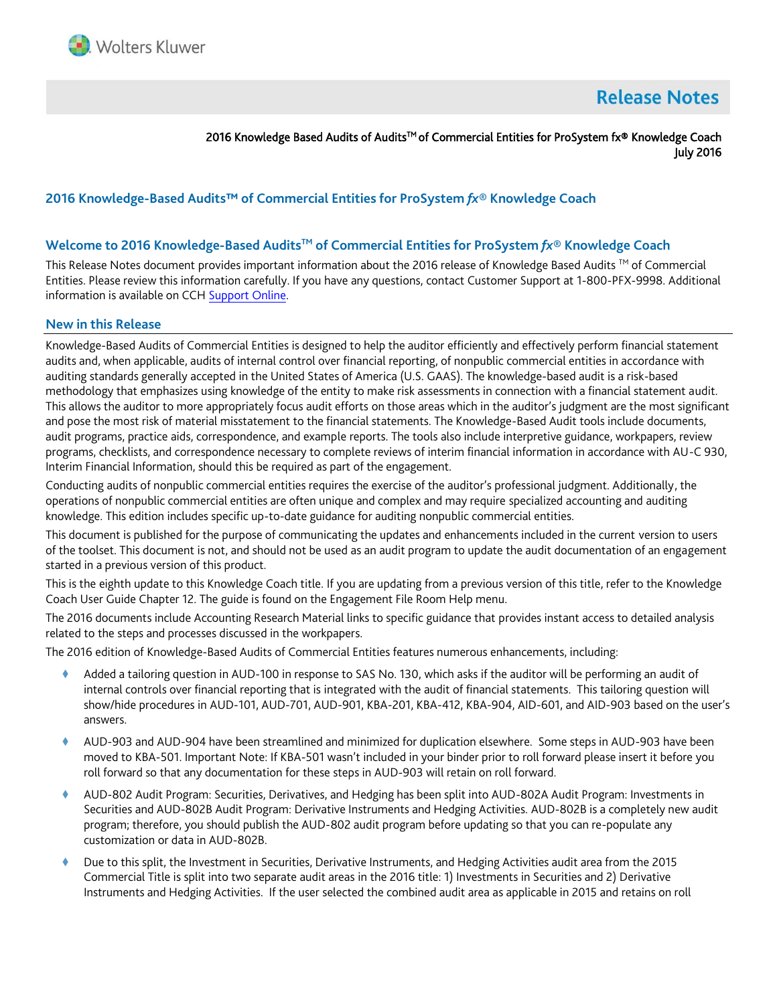

# **Release Notes**

2016 Knowledge Based Audits of Audits™ of Commercial Entities for ProSystem fx® Knowledge Coach July 2016

# **2016 Knowledge-Based Audits™ of Commercial Entities for ProSystem** *fx***® Knowledge Coach**

### **Welcome to 2016 Knowledge-Based AuditsTM of Commercial Entities for ProSystem** *fx***® Knowledge Coach**

This Release Notes document provides important information about the 2016 release of Knowledge Based Audits ™ of Commercial Entities. Please review this information carefully. If you have any questions, contact Customer Support at 1-800-PFX-9998. Additional information is available on CC[H Support Online.](http://support.cch.com/productsupport/)

#### **New in this Release**

Knowledge-Based Audits of Commercial Entities is designed to help the auditor efficiently and effectively perform financial statement audits and, when applicable, audits of internal control over financial reporting, of nonpublic commercial entities in accordance with auditing standards generally accepted in the United States of America (U.S. GAAS). The knowledge-based audit is a risk-based methodology that emphasizes using knowledge of the entity to make risk assessments in connection with a financial statement audit. This allows the auditor to more appropriately focus audit efforts on those areas which in the auditor's judgment are the most significant and pose the most risk of material misstatement to the financial statements. The Knowledge-Based Audit tools include documents, audit programs, practice aids, correspondence, and example reports. The tools also include interpretive guidance, workpapers, review programs, checklists, and correspondence necessary to complete reviews of interim financial information in accordance with AU-C 930, Interim Financial Information, should this be required as part of the engagement.

Conducting audits of nonpublic commercial entities requires the exercise of the auditor's professional judgment. Additionally, the operations of nonpublic commercial entities are often unique and complex and may require specialized accounting and auditing knowledge. This edition includes specific up-to-date guidance for auditing nonpublic commercial entities.

This document is published for the purpose of communicating the updates and enhancements included in the current version to users of the toolset. This document is not, and should not be used as an audit program to update the audit documentation of an engagement started in a previous version of this product.

This is the eighth update to this Knowledge Coach title. If you are updating from a previous version of this title, refer to the Knowledge Coach User Guide Chapter 12. The guide is found on the Engagement File Room Help menu.

The 2016 documents include Accounting Research Material links to specific guidance that provides instant access to detailed analysis related to the steps and processes discussed in the workpapers.

The 2016 edition of Knowledge-Based Audits of Commercial Entities features numerous enhancements, including:

- Added a tailoring question in AUD-100 in response to SAS No. 130, which asks if the auditor will be performing an audit of internal controls over financial reporting that is integrated with the audit of financial statements. This tailoring question will show/hide procedures in AUD-101, AUD-701, AUD-901, KBA-201, KBA-412, KBA-904, AID-601, and AID-903 based on the user's answers.
- AUD-903 and AUD-904 have been streamlined and minimized for duplication elsewhere. Some steps in AUD-903 have been moved to KBA-501. Important Note: If KBA-501 wasn't included in your binder prior to roll forward please insert it before you roll forward so that any documentation for these steps in AUD-903 will retain on roll forward.
- AUD-802 Audit Program: Securities, Derivatives, and Hedging has been split into AUD-802A Audit Program: Investments in Securities and AUD-802B Audit Program: Derivative Instruments and Hedging Activities. AUD-802B is a completely new audit program; therefore, you should publish the AUD-802 audit program before updating so that you can re-populate any customization or data in AUD-802B.
- Due to this split, the Investment in Securities, Derivative Instruments, and Hedging Activities audit area from the 2015 Commercial Title is split into two separate audit areas in the 2016 title: 1) Investments in Securities and 2) Derivative Instruments and Hedging Activities. If the user selected the combined audit area as applicable in 2015 and retains on roll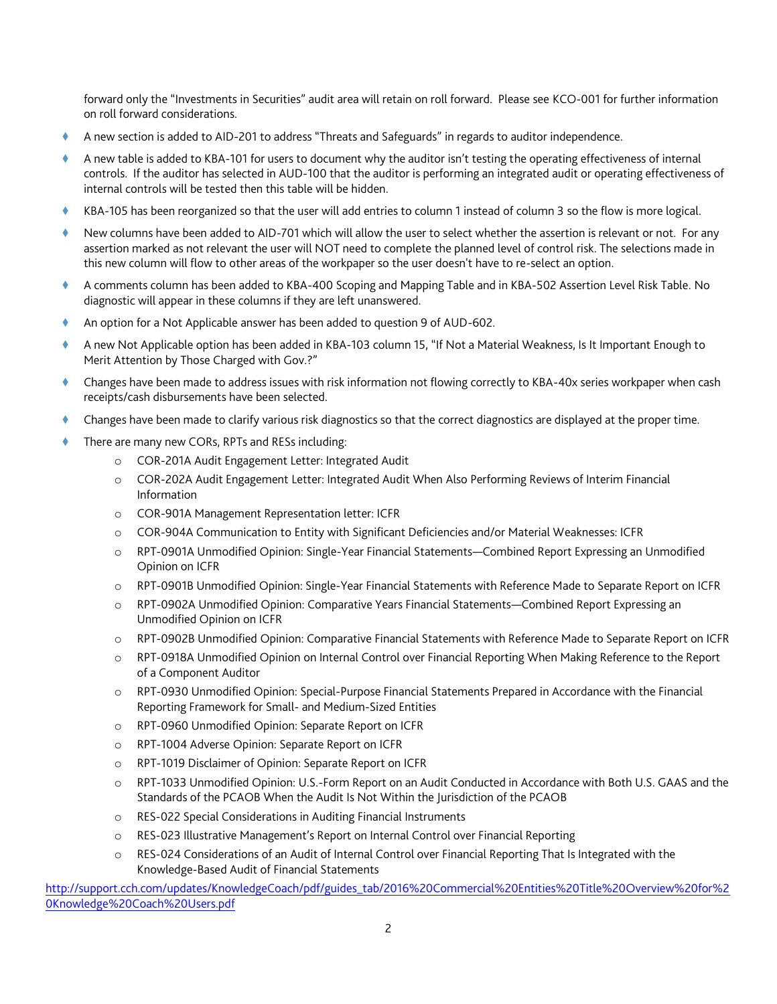forward only the "Investments in Securities" audit area will retain on roll forward. Please see KCO-001 for further information on roll forward considerations.

- A new section is added to AID-201 to address "Threats and Safeguards" in regards to auditor independence.
- A new table is added to KBA-101 for users to document why the auditor isn't testing the operating effectiveness of internal controls. If the auditor has selected in AUD-100 that the auditor is performing an integrated audit or operating effectiveness of internal controls will be tested then this table will be hidden.
- KBA-105 has been reorganized so that the user will add entries to column 1 instead of column 3 so the flow is more logical.
- New columns have been added to AID-701 which will allow the user to select whether the assertion is relevant or not. For any assertion marked as not relevant the user will NOT need to complete the planned level of control risk. The selections made in this new column will flow to other areas of the workpaper so the user doesn't have to re-select an option.
- A comments column has been added to KBA-400 Scoping and Mapping Table and in KBA-502 Assertion Level Risk Table. No diagnostic will appear in these columns if they are left unanswered.
- An option for a Not Applicable answer has been added to question 9 of AUD-602.
- A new Not Applicable option has been added in KBA-103 column 15, "If Not a Material Weakness, Is It Important Enough to Merit Attention by Those Charged with Gov.?"
- Changes have been made to address issues with risk information not flowing correctly to KBA-40x series workpaper when cash receipts/cash disbursements have been selected.
- Changes have been made to clarify various risk diagnostics so that the correct diagnostics are displayed at the proper time.
- There are many new CORs, RPTs and RESs including:
	- o COR-201A Audit Engagement Letter: Integrated Audit
	- o COR-202A Audit Engagement Letter: Integrated Audit When Also Performing Reviews of Interim Financial Information
	- o COR-901A Management Representation letter: ICFR
	- o COR-904A Communication to Entity with Significant Deficiencies and/or Material Weaknesses: ICFR
	- o RPT-0901A Unmodified Opinion: Single-Year Financial Statements—Combined Report Expressing an Unmodified Opinion on ICFR
	- o RPT-0901B Unmodified Opinion: Single-Year Financial Statements with Reference Made to Separate Report on ICFR
	- o RPT-0902A Unmodified Opinion: Comparative Years Financial Statements—Combined Report Expressing an Unmodified Opinion on ICFR
	- o RPT-0902B Unmodified Opinion: Comparative Financial Statements with Reference Made to Separate Report on ICFR
	- o RPT-0918A Unmodified Opinion on Internal Control over Financial Reporting When Making Reference to the Report of a Component Auditor
	- o RPT-0930 Unmodified Opinion: Special-Purpose Financial Statements Prepared in Accordance with the Financial Reporting Framework for Small- and Medium-Sized Entities
	- o RPT-0960 Unmodified Opinion: Separate Report on ICFR
	- o RPT-1004 Adverse Opinion: Separate Report on ICFR
	- o RPT-1019 Disclaimer of Opinion: Separate Report on ICFR
	- o RPT-1033 Unmodified Opinion: U.S.-Form Report on an Audit Conducted in Accordance with Both U.S. GAAS and the Standards of the PCAOB When the Audit Is Not Within the Jurisdiction of the PCAOB
	- o RES-022 Special Considerations in Auditing Financial Instruments
	- o RES-023 Illustrative Management's Report on Internal Control over Financial Reporting
	- o RES-024 Considerations of an Audit of Internal Control over Financial Reporting That Is Integrated with the Knowledge-Based Audit of Financial Statements

[http://support.cch.com/updates/KnowledgeCoach/pdf/guides\\_tab/2016%20Commercial%20Entities%20Title%20Overview%20for%2](http://support.cch.com/updates/KnowledgeCoach/pdf/guides_tab/2016%20Commercial%20Entities%20Title%20Overview%20for%20Knowledge%20Coach%20Users.pdf) [0Knowledge%20Coach%20Users.pdf](http://support.cch.com/updates/KnowledgeCoach/pdf/guides_tab/2016%20Commercial%20Entities%20Title%20Overview%20for%20Knowledge%20Coach%20Users.pdf)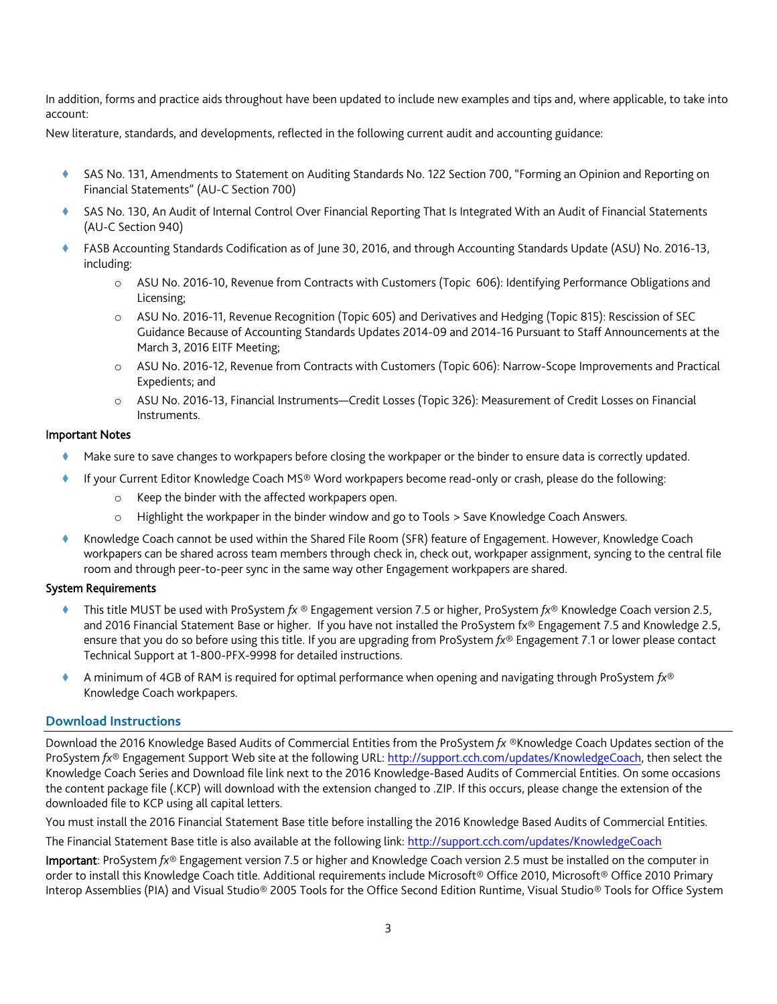In addition, forms and practice aids throughout have been updated to include new examples and tips and, where applicable, to take into account:

New literature, standards, and developments, reflected in the following current audit and accounting guidance:

- SAS No. 131, Amendments to Statement on Auditing Standards No. 122 Section 700, "Forming an Opinion and Reporting on Financial Statements" (AU-C Section 700)
- SAS No. 130, An Audit of Internal Control Over Financial Reporting That Is Integrated With an Audit of Financial Statements (AU-C Section 940)
- FASB Accounting Standards Codification as of June 30, 2016, and through Accounting Standards Update (ASU) No. 2016-13, including:
	- o ASU No. 2016-10, Revenue from Contracts with Customers (Topic 606): Identifying Performance Obligations and Licensing;
	- o ASU No. 2016-11, Revenue Recognition (Topic 605) and Derivatives and Hedging (Topic 815): Rescission of SEC Guidance Because of Accounting Standards Updates 2014-09 and 2014-16 Pursuant to Staff Announcements at the March 3, 2016 EITF Meeting;
	- o ASU No. 2016-12, Revenue from Contracts with Customers (Topic 606): Narrow-Scope Improvements and Practical Expedients; and
	- o ASU No. 2016-13, Financial Instruments—Credit Losses (Topic 326): Measurement of Credit Losses on Financial Instruments.

### Important Notes

- Make sure to save changes to workpapers before closing the workpaper or the binder to ensure data is correctly updated.
	- If your Current Editor Knowledge Coach MS® Word workpapers become read-only or crash, please do the following:
		- o Keep the binder with the affected workpapers open.
		- o Highlight the workpaper in the binder window and go to Tools > Save Knowledge Coach Answers.
- Knowledge Coach cannot be used within the Shared File Room (SFR) feature of Engagement. However, Knowledge Coach workpapers can be shared across team members through check in, check out, workpaper assignment, syncing to the central file room and through peer-to-peer sync in the same way other Engagement workpapers are shared.

# System Requirements

- This title MUST be used with ProSystem *fx* ® Engagement version 7.5 or higher, ProSystem *fx*® Knowledge Coach version 2.5, and 2016 Financial Statement Base or higher. If you have not installed the ProSystem fx® Engagement 7.5 and Knowledge 2.5, ensure that you do so before using this title. If you are upgrading from ProSystem *fx*® Engagement 7.1 or lower please contact Technical Support at 1-800-PFX-9998 for detailed instructions.
- A minimum of 4GB of RAM is required for optimal performance when opening and navigating through ProSystem *fx*® Knowledge Coach workpapers.

# **Download Instructions**

Download the 2016 Knowledge Based Audits of Commercial Entities from the ProSystem *fx* ®Knowledge Coach Updates section of the ProSystem *fx*® Engagement Support Web site at the following URL[: http://support.cch.com/updates/KnowledgeCoach,](http://support.cch.com/updates/KnowledgeCoach) then select the Knowledge Coach Series and Download file link next to the 2016 Knowledge-Based Audits of Commercial Entities. On some occasions the content package file (.KCP) will download with the extension changed to .ZIP. If this occurs, please change the extension of the downloaded file to KCP using all capital letters.

You must install the 2016 Financial Statement Base title before installing the 2016 Knowledge Based Audits of Commercial Entities.

The Financial Statement Base title is also available at the following link:<http://support.cch.com/updates/KnowledgeCoach>

Important: ProSystem *fx*® Engagement version 7.5 or higher and Knowledge Coach version 2.5 must be installed on the computer in order to install this Knowledge Coach title. Additional requirements include Microsoft® Office 2010, Microsoft® Office 2010 Primary Interop Assemblies (PIA) and Visual Studio® 2005 Tools for the Office Second Edition Runtime, Visual Studio® Tools for Office System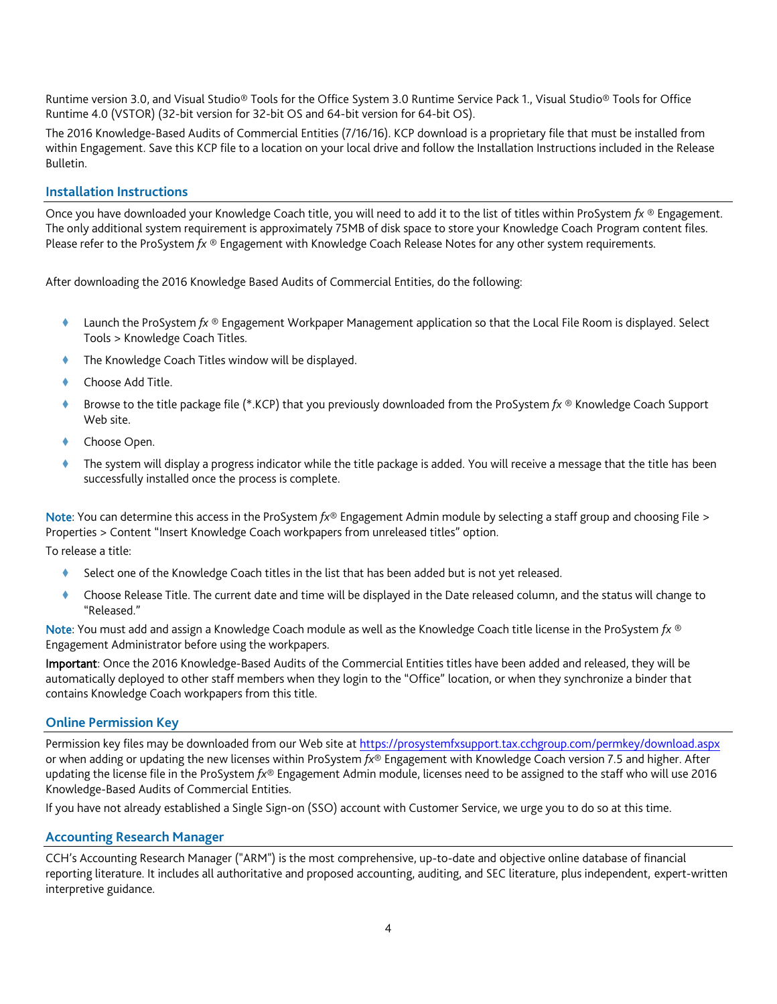Runtime version 3.0, and Visual Studio® Tools for the Office System 3.0 Runtime Service Pack 1., Visual Studio® Tools for Office Runtime 4.0 (VSTOR) (32-bit version for 32-bit OS and 64-bit version for 64-bit OS).

The 2016 Knowledge-Based Audits of Commercial Entities (7/16/16). KCP download is a proprietary file that must be installed from within Engagement. Save this KCP file to a location on your local drive and follow the Installation Instructions included in the Release Bulletin.

## **Installation Instructions**

Once you have downloaded your Knowledge Coach title, you will need to add it to the list of titles within ProSystem *fx* ® Engagement. The only additional system requirement is approximately 75MB of disk space to store your Knowledge Coach Program content files. Please refer to the ProSystem *fx* ® Engagement with Knowledge Coach Release Notes for any other system requirements.

After downloading the 2016 Knowledge Based Audits of Commercial Entities, do the following:

- Launch the ProSystem *fx* ® Engagement Workpaper Management application so that the Local File Room is displayed. Select Tools > Knowledge Coach Titles.
- The Knowledge Coach Titles window will be displayed.
- Choose Add Title.
- Browse to the title package file (\*.KCP) that you previously downloaded from the ProSystem *fx* ® Knowledge Coach Support Web site.
- Choose Open.
- The system will display a progress indicator while the title package is added. You will receive a message that the title has been successfully installed once the process is complete.

Note: You can determine this access in the ProSystem *fx*® Engagement Admin module by selecting a staff group and choosing File > Properties > Content "Insert Knowledge Coach workpapers from unreleased titles" option.

To release a title:

- Select one of the Knowledge Coach titles in the list that has been added but is not yet released.
- Choose Release Title. The current date and time will be displayed in the Date released column, and the status will change to "Released."

Note: You must add and assign a Knowledge Coach module as well as the Knowledge Coach title license in the ProSystem *fx* ® Engagement Administrator before using the workpapers.

Important: Once the 2016 Knowledge-Based Audits of the Commercial Entities titles have been added and released, they will be automatically deployed to other staff members when they login to the "Office" location, or when they synchronize a binder that contains Knowledge Coach workpapers from this title.

### **Online Permission Key**

Permission key files may be downloaded from our Web site a[t https://prosystemfxsupport.tax.cchgroup.com/permkey/download.aspx](https://prosystemfxsupport.tax.cchgroup.com/permkey/download.aspx)  or when adding or updating the new licenses within ProSystem *fx*® Engagement with Knowledge Coach version 7.5 and higher. After updating the license file in the ProSystem *fx*® Engagement Admin module, licenses need to be assigned to the staff who will use 2016 Knowledge-Based Audits of Commercial Entities.

If you have not already established a Single Sign-on (SSO) account with Customer Service, we urge you to do so at this time.

### **Accounting Research Manager**

CCH's Accounting Research Manager ("ARM") is the most comprehensive, up-to-date and objective online database of financial reporting literature. It includes all authoritative and proposed accounting, auditing, and SEC literature, plus independent, expert-written interpretive guidance.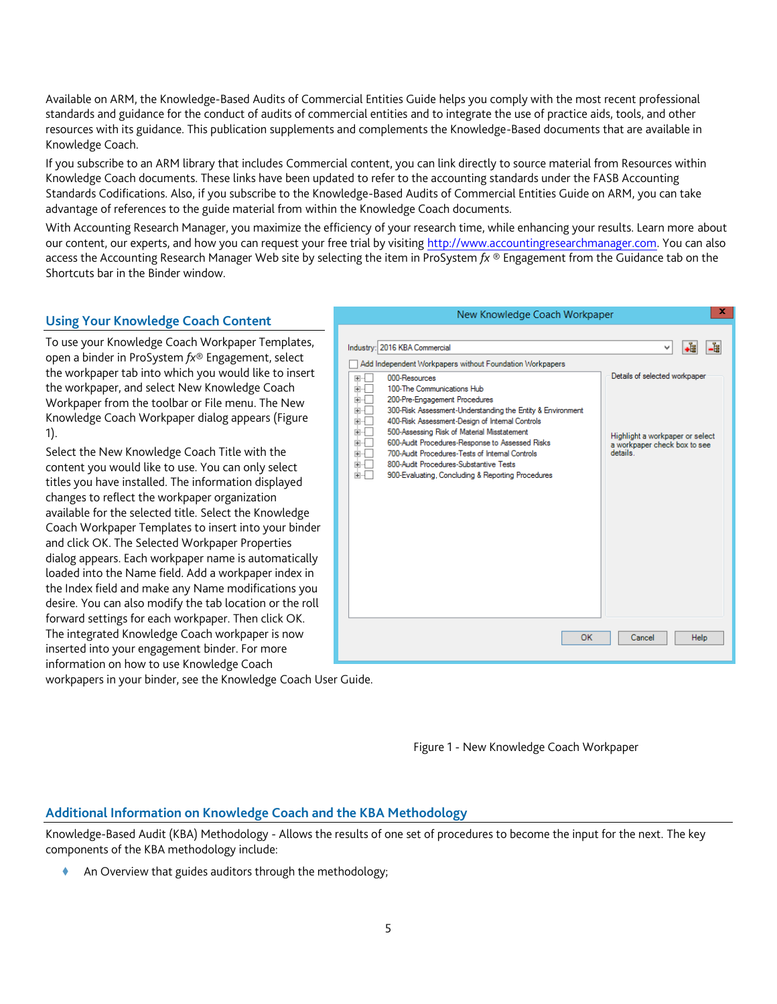Available on ARM, the Knowledge-Based Audits of Commercial Entities Guide helps you comply with the most recent professional standards and guidance for the conduct of audits of commercial entities and to integrate the use of practice aids, tools, and other resources with its guidance. This publication supplements and complements the Knowledge-Based documents that are available in Knowledge Coach.

If you subscribe to an ARM library that includes Commercial content, you can link directly to source material from Resources within Knowledge Coach documents. These links have been updated to refer to the accounting standards under the FASB Accounting Standards Codifications. Also, if you subscribe to the Knowledge-Based Audits of Commercial Entities Guide on ARM, you can take advantage of references to the guide material from within the Knowledge Coach documents.

With Accounting Research Manager, you maximize the efficiency of your research time, while enhancing your results. Learn more about our content, our experts, and how you can request your free trial by visiting [http://www.accountingresearchmanager.com.](http://www.accountingresearchmanager.com/) You can also access the Accounting Research Manager Web site by selecting the item in ProSystem *fx* ® Engagement from the Guidance tab on the Shortcuts bar in the Binder window.

#### $\mathbf x$ New Knowledge Coach Workpaper **Using Your Knowledge Coach Content** To use your Knowledge Coach Workpaper Templates, Industry: 2016 KBA Commercial Ψl 唱 **Le** open a binder in ProSystem *fx*® Engagement, select Add Independent Workpapers without Foundation Workpapers the workpaper tab into which you would like to insert Details of selected workpaper 田中 000-Resources the workpaper, and select New Knowledge Coach Ė-O 100-The Communications Hub ÷ō 200-Pre-Engagement Procedures Workpaper from the toolbar or File menu. The New 語 300-Risk Assessment-Understanding the Entity & Environment Knowledge Coach Workpaper dialog appears (Figure 400-Risk Assessment-Design of Internal Controls ĖĐ 500-Assessing Risk of Material Misstatement 1). Highlight a workpaper or select THE 600-Audit Procedures-Response to Assessed Risks a workpaper check box to see<br>details. Select the New Knowledge Coach Title with the 700-Audit Procedures-Tests of Internal Controls  $\begin{tabular}{c} \hline \multicolumn{1}{c}{\textbf{0.5}} \end{tabular}$ 800-Audit Procedures-Substantive Tests content you would like to use. You can only select 900-Evaluating, Concluding & Reporting Procedures titles you have installed. The information displayed changes to reflect the workpaper organization available for the selected title. Select the Knowledge Coach Workpaper Templates to insert into your binder and click OK. The Selected Workpaper Properties dialog appears. Each workpaper name is automatically loaded into the Name field. Add a workpaper index in the Index field and make any Name modifications you desire. You can also modify the tab location or the roll forward settings for each workpaper. Then click OK. The integrated Knowledge Coach workpaper is now OK Cancel Help inserted into your engagement binder. For more information on how to use Knowledge Coach

workpapers in your binder, see the Knowledge Coach User Guide.

Figure 1 - New Knowledge Coach Workpaper

# **Additional Information on Knowledge Coach and the KBA Methodology**

Knowledge-Based Audit (KBA) Methodology - Allows the results of one set of procedures to become the input for the next. The key components of the KBA methodology include:

An Overview that guides auditors through the methodology;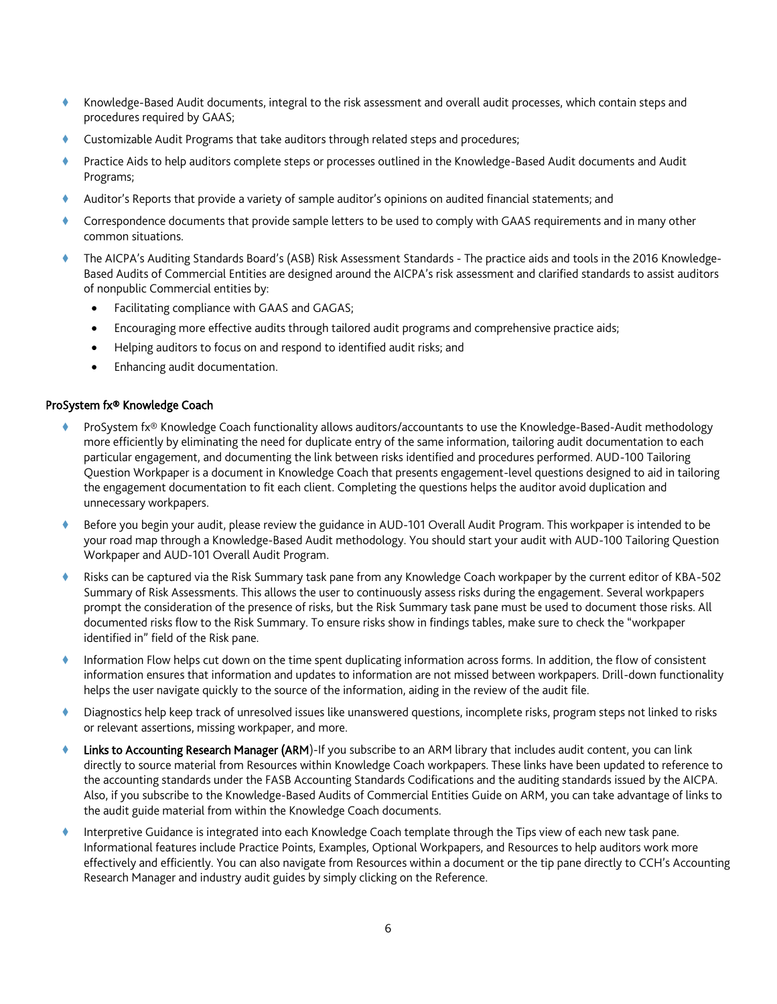- Knowledge-Based Audit documents, integral to the risk assessment and overall audit processes, which contain steps and procedures required by GAAS;
- Customizable Audit Programs that take auditors through related steps and procedures;
- Practice Aids to help auditors complete steps or processes outlined in the Knowledge-Based Audit documents and Audit Programs;
- Auditor's Reports that provide a variety of sample auditor's opinions on audited financial statements; and
- Correspondence documents that provide sample letters to be used to comply with GAAS requirements and in many other common situations.
- The AICPA's Auditing Standards Board's (ASB) Risk Assessment Standards The practice aids and tools in the 2016 Knowledge-Based Audits of Commercial Entities are designed around the AICPA's risk assessment and clarified standards to assist auditors of nonpublic Commercial entities by:
	- Facilitating compliance with GAAS and GAGAS;
	- Encouraging more effective audits through tailored audit programs and comprehensive practice aids;
	- Helping auditors to focus on and respond to identified audit risks; and
	- Enhancing audit documentation.

#### ProSystem fx® Knowledge Coach

- ProSystem fx® Knowledge Coach functionality allows auditors/accountants to use the Knowledge-Based-Audit methodology more efficiently by eliminating the need for duplicate entry of the same information, tailoring audit documentation to each particular engagement, and documenting the link between risks identified and procedures performed. AUD-100 Tailoring Question Workpaper is a document in Knowledge Coach that presents engagement-level questions designed to aid in tailoring the engagement documentation to fit each client. Completing the questions helps the auditor avoid duplication and unnecessary workpapers.
- Before you begin your audit, please review the guidance in AUD-101 Overall Audit Program. This workpaper is intended to be your road map through a Knowledge-Based Audit methodology. You should start your audit with AUD-100 Tailoring Question Workpaper and AUD-101 Overall Audit Program.
- Risks can be captured via the Risk Summary task pane from any Knowledge Coach workpaper by the current editor of KBA-502 Summary of Risk Assessments. This allows the user to continuously assess risks during the engagement. Several workpapers prompt the consideration of the presence of risks, but the Risk Summary task pane must be used to document those risks. All documented risks flow to the Risk Summary. To ensure risks show in findings tables, make sure to check the "workpaper identified in" field of the Risk pane.
- Information Flow helps cut down on the time spent duplicating information across forms. In addition, the flow of consistent information ensures that information and updates to information are not missed between workpapers. Drill-down functionality helps the user navigate quickly to the source of the information, aiding in the review of the audit file.
- Diagnostics help keep track of unresolved issues like unanswered questions, incomplete risks, program steps not linked to risks or relevant assertions, missing workpaper, and more.
- Links to Accounting Research Manager (ARM)-If you subscribe to an ARM library that includes audit content, you can link directly to source material from Resources within Knowledge Coach workpapers. These links have been updated to reference to the accounting standards under the FASB Accounting Standards Codifications and the auditing standards issued by the AICPA. Also, if you subscribe to the Knowledge-Based Audits of Commercial Entities Guide on ARM, you can take advantage of links to the audit guide material from within the Knowledge Coach documents.
- Interpretive Guidance is integrated into each Knowledge Coach template through the Tips view of each new task pane. Informational features include Practice Points, Examples, Optional Workpapers, and Resources to help auditors work more effectively and efficiently. You can also navigate from Resources within a document or the tip pane directly to CCH's Accounting Research Manager and industry audit guides by simply clicking on the Reference.